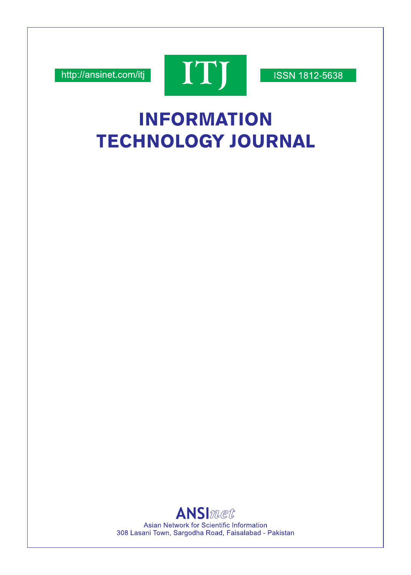http://ansinet.com/itj



**ISSN 1812-5638** 

# **INFORMATION TECHNOLOGY JOURNAL**

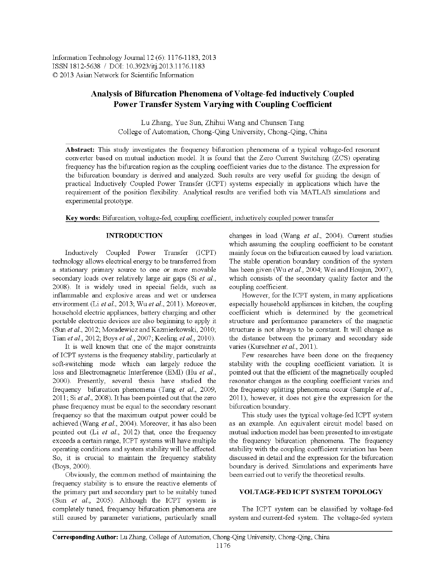Information Technology Journal 12(6): 1176-1183, 2013 ISSN 1812-5638 / DOI: 10.3923/itj.2013.1176.1183 © 2013 Asian Network for Scientific Information

## Analysis of Bifurcation Phenomena of Voltage-fed inductively Coupled Power Transfer System Varying with Coupling Coefficient

Lu Zhang, Yue Sun, Zhihui Wang and Chunsen Tang College of Automation, Chong-Qing University, Chong-Qing, China

Abstract: This study investigates the frequency bifurcation phenomena of a typical voltage-fed resonant converter based on mutual induction model. It is found that the Zero Current Switching (ZCS) operating frequency has the bifurcation region as the coupling coefficient varies due to the distance. The expression for the bifurcation boundary is derived and analyzed. Such results are very useful for guiding the design of practical Inductively Coupled Power Transfer (ICPT) systems especially in applications which have the requirement of the position flexibility. Analytical results are verified both via MATLAB simulations and experimental prototype.

Key words: Bifurcation, voltage-fed, coupling coefficient, inductively coupled power transfer

## **INTRODUCTION**

Inductively Coupled Power Transfer (ICPT) technology allows electrical energy to be transferred from a stationary primary source to one or more movable secondary loads over relatively large air gaps (Si et al., 2008). It is widely used in special fields, such as inflammable and explosive areas and wet or undersea environment (Li et al., 2013; Wu et al., 2011). Moreover, household electric appliances, battery charging and other portable electronic devices are also beginning to apply it (Sun et al., 2012; Moradewicz and Kazmierkowski, 2010; Tian et al., 2012; Boys et al., 2007; Keeling et al., 2010).

It is well known that one of the major constraints of ICPT systems is the frequency stability, particularly at soft-switching mode which can largely reduce the loss and Electromagnetic Interference (EMI) (Hu et al., 2000). Presently, several thesis have studied the frequency bifurcation phenomena (Tang et al., 2009, 2011; Si et al., 2008). It has been pointed out that the zero phase frequency must be equal to the secondary resonant frequency so that the maximum output power could be achieved (Wang et al., 2004). Moreover, it has also been pointed out (Li et al., 2012) that, once the frequency exceeds a certain range, ICPT systems will have multiple operating conditions and system stability will be affected. So, it is crucial to maintain the frequency stability (Boys, 2000).

Obviously, the common method of maintaining the frequency stability is to ensure the reactive elements of the primary part and secondary part to be suitably tuned (Sun et al., 2005). Although the ICPT system is completely tuned, frequency bifurcation phenomena are still caused by parameter variations, particularly small

changes in load (Wang et al., 2004). Current studies which assuming the coupling coefficient to be constant mainly focus on the bifurcation caused by load variation. The stable operation boundary condition of the system has been given (Wu et al., 2004, Wei and Houjun, 2007), which consists of the secondary quality factor and the coupling coefficient.

However, for the ICPT system, in many applications especially household appliances in kitchen, the coupling coefficient which is determined by the geometrical structure and performance parameters of the magnetic structure is not always to be constant. It will change as the distance between the primary and secondary side varies (Kurschner et al., 2011).

Few researches have been done on the frequency stability with the coupling coefficient variation. It is pointed out that the efficient of the magnetically coupled resonator changes as the coupling coefficient varies and the frequency splitting phenomena occur (Sample et al., 2011), however, it does not give the expression for the bifurcation boundary.

This study uses the typical voltage-fed ICPT system as an example. An equivalent circuit model based on mutual induction model has been presented to investigate the frequency bifurcation phenomena. The frequency stability with the coupling coefficient variation has been discussed in detail and the expression for the bifurcation boundary is derived. Simulations and experiments have been carried out to verify the theoretical results.

## VOLTAGE-FED ICPT SYSTEM TOPOLOGY

The ICPT system can be classified by voltage-fed system and current-fed system. The voltage-fed system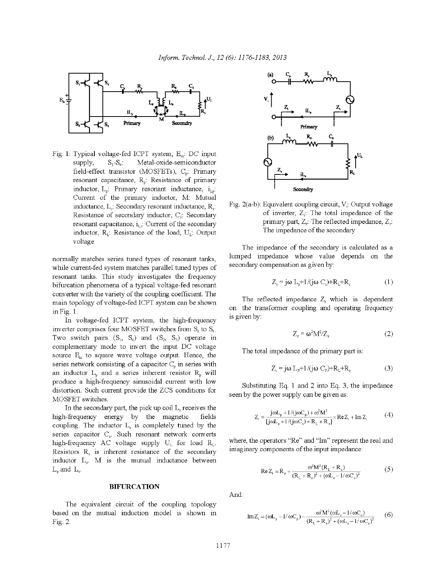

Fig. 1: Typical voltage-fed ICPT system, E<sub>in</sub>: DC input supply,  $S_1-S_4$ : Metal-oxide-semiconductor field-effect transistor (MOSFETs), C<sub>p</sub>. Primary resonant capacitance, R<sub>p</sub>: Resistance of primary inductor,  $L_p$ : Primary resonant inductance,  $i_{L_p}$ : Current of the primary inductor, M. Mutual inductance,  $L_s$ : Secondary resonant inductance,  $R_s$ : Resistance of secondary inductor, C<sub>s</sub>: Secondary resonant capacitance,  $i_{Ls}$ : Current of the secondary inductor,  $R_L$ : Resistance of the load,  $U_L$ : Output voltage

normally matches series tuned types of resonant tanks, while current-fed system matches parallel tuned types of resonant tanks. This study investigates the frequency bifurcation phenomena of a typical voltage-fed resonant converter with the variety of the coupling coefficient. The main topology of voltage-fed ICPT system can be shown in Fig. 1.

In voltage-fed ICPT system, the high-frequency inverter comprises four MOSFET switches from  $S_1$  to  $S_4$ . Two switch pairs  $(S_1, S_4)$  and  $(S_2, S_3)$  operate in complementary mode to invert the input DC voltage source E<sub>in</sub> to square wave voltage output. Hence, the series network consisting of a capacitor  $C_n$  in series with an inductor  $L<sub>0</sub>$  and a series inherent resistor  $R<sub>0</sub>$  will produce a high-frequency sinusoidal current with low distortion. Such current provide the ZCS conditions for MOSFET switches.

In the secondary part, the pick up coil  $L<sub>s</sub>$  receives the high-frequency energy by the magnetic fields coupling. The inductor L<sub>s</sub> is completely tuned by the series capacitor C. Such resonant network converts high-frequency AC voltage supply  $U_L$  for load  $R_L$ . Resistors  $R_s$  is inherent resistance of the secondary inductor  $L<sub>s</sub>$ . M is the mutual inductance between  $L_{\circ}$  and  $L_{\circ}$ .

#### **BIFURCATION**

The equivalent circuit of the coupling topology based on the mutual induction model is shown in Fig. 2.



Fig. 2(a-b): Equivalent coupling circuit,  $V_i$ : Output voltage of inverter,  $Z_i$ : The total impedance of the primary part,  $Z_r$ : The reflected impedance,  $Z_s$ : The impedance of the secondary

The impedance of the secondary is calculated as a lumped impedance whose value depends on the secondary compensation as given by:

$$
Z_s = j\omega L_s + 1/(j\omega C_s) + R_L + R_s \tag{1}
$$

The reflected impedance  $Z_r$  which is dependent on the transformer coupling and operating frequency is given by:

$$
Z_r = \omega^2 M^2 / Z_s \tag{2}
$$

The total impedance of the primary part is:

$$
Z_i = j\omega L_p + 1/(j\omega C_p) + R_L + R_s \tag{3}
$$

Substituting Eq. 1 and 2 into Eq. 3, the impedance seen by the power supply can be given as.

$$
Z_i = \frac{j\omega L_p + 1/(j\omega C_p) + \omega^2 M^2}{[j\omega L_s + 1/(j\omega C_s) + R_L + R_s]} \times \text{Re} Z_i + \text{Im} Z_i
$$
 (4)

where, the operators "Re" and "Im" represent the real and imaginary components of the input impedance:

Re 
$$
Z_i = R_p + \frac{\omega^2 M^2 (R_L + R_s)}{(R_L + R_s)^2 + (\omega L_s - 1/\omega C_s)^2}
$$
 (5)

And:

$$
Im Z_{i} = (\omega L_{p} - 1/\omega C_{p}) - \frac{\omega^{2} M^{2} (\omega L_{s} - 1/\omega C_{s})}{(R_{L} + R_{s})^{2} + (\omega L_{s} - 1/\omega C_{s})^{2}}
$$
(6)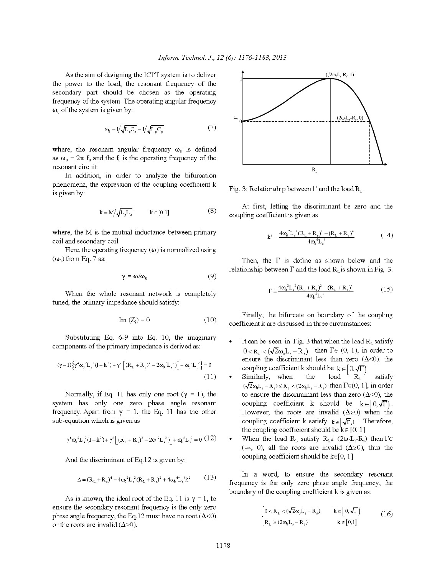As the aim of designing the ICPT system is to deliver the power to the load, the resonant frequency of the secondary part should be chosen as the operating frequency of the system. The operating angular frequency  $\omega_0$  of the system is given by:

$$
\omega_{\text{b}} = 1/\sqrt{L_{\text{s}}C_{\text{s}}} = 1/\sqrt{L_{\text{p}}C_{\text{p}}}
$$
\n<sup>(7)</sup>

where, the resonant angular frequency  $\omega_0$  is defined as  $\omega_0 = 2\pi f_0$  and the  $f_0$  is the operating frequency of the resonant circuit.

In addition, in order to analyze the bifurcation phenomena, the expression of the coupling coefficient k is given by:

$$
\mathbf{k} = \mathbf{M} / \sqrt{\mathbf{L}_p \mathbf{L}_s} \qquad \mathbf{k} \in [0, 1] \tag{8}
$$

where, the M is the mutual inductance between primary coil and secondary coil.

Here, the operating frequency  $(\omega)$  is normalized using  $(\omega_0)$  from Eq. 7 as:

$$
\gamma = \omega/\omega_0 \tag{9}
$$

When the whole resonant network is completely tuned, the primary impedance should satisfy:

$$
Im (Zi) = 0 \t\t(10)
$$

Substituting Eq. 6-9 into Eq. 10, the imaginary components of the primary impedance is derived as:

$$
(\gamma - 1)\left\{\gamma^4 \omega_0^2 L_s^2 (l - k^2) + \gamma^2 \left[ (R_L + R_s)^2 - 2\omega_0^2 L_s^2 \right) \right] + \omega_0^2 L_s^2 = 0
$$
\n(11)

Normally, if Eq. 11 has only one root ( $\gamma = 1$ ), the system has only one zero phase angle resonant frequency. Apart from  $\gamma = 1$ , the Eq. 11 has the other sub-equation which is given as:

$$
\gamma^4 \omega_0^2 L_s^2 (1 - k^2) + \gamma^2 \left[ (R_L + R_s)^2 - 2\omega_0^2 L_s^2 \right] + \omega_0^2 L_s^2 = 0 \tag{12}
$$

And the discriminant of Eq.12 is given by:

$$
\Delta = (R_{L} + R_{s})^{4} - 4\omega_{0}^{2}L_{s}^{2}(R_{L} + R_{s})^{2} + 4\omega_{0}^{4}L_{s}^{4}k^{2}
$$
 (13)

As is known, the ideal root of the Eq. 11 is  $\gamma = 1$ , to ensure the secondary resonant frequency is the only zero phase angle frequency, the Eq.12 must have no root  $(\Delta < 0)$ or the roots are invalid ( $\Delta > 0$ ).



Fig. 3: Relationship between  $\Gamma$  and the load  $R_L$ 

At first, letting the discriminant be zero and the coupling coefficient is given as:

$$
k^{2} = \frac{4\omega_{0}^{2}L_{s}^{2}(R_{L} + R_{s})^{2} - (R_{L} + R_{s})^{4}}{4\omega_{0}^{4}L_{s}^{4}}
$$
(14)

Then, the  $\Gamma$  is define as shown below and the relationship between  $\Gamma$  and the load  $R_1$  is shown in Fig. 3.

$$
\Gamma = \frac{4\omega_0^2 L_s^2 (R_L + R_s)^2 - (R_L + R_s)^4}{4\omega_0^4 L_s^4}
$$
\n(15)

Finally, the bifurcate on boundary of the coupling coefficient k are discussed in three circumstances:

- It can be seen in Fig. 3 that when the load  $R_L$  satisfy  $0 \lt R_{\tau} \lt (\sqrt{2}\omega_{0}L_{\tau}-R_{\tau})$  then  $\Gamma \in (0, 1)$ , in order to ensure the discriminant less than zero  $(\Delta < 0)$ , the coupling coefficient k should be  $k \in [0, \sqrt{\Gamma}]$
- Similarly, when the load  $R_{\scriptscriptstyle\rm T}$ satisfy  $(\sqrt{2}\omega_{\rm b}L_{\rm s}-R_{\rm s})\leq R_{\rm t}<(2\omega_{\rm b}L_{\rm s}-R_{\rm s})$  then  $\Gamma\in(0,1]$ , in order to ensure the discriminant less than zero  $(\Delta < 0)$ , the coupling coefficient k should be  $k \in [0, \sqrt{\Gamma})$ . However, the roots are invalid  $(\Delta \ge 0)$  when the coupling coefficient k satisfy  $k \in [\sqrt{\Gamma}, 1]$ . Therefore, the coupling coefficient should be  $k \in [0, 1]$
- When the load R<sub>L</sub> satisfy R<sub>L</sub>  $\geq (2\omega_0 L_s R_s)$  then  $\Gamma \in$  $(-\infty, 0)$ , all the roots are invalid  $(\Delta \ge 0)$ , thus the coupling coefficient should be  $k \in [0, 1]$

In a word, to ensure the secondary resonant frequency is the only zero phase angle frequency, the boundary of the coupling coefficient k is given as:

$$
\begin{cases}\n0 < R_{L} < (\sqrt{2}\omega_{0}L_{s}-R_{s}) \\
R_{L} \ge (2\omega_{0}L_{s}-R_{s})\n\end{cases}\n\quad k \in [0,1]\n\tag{16}
$$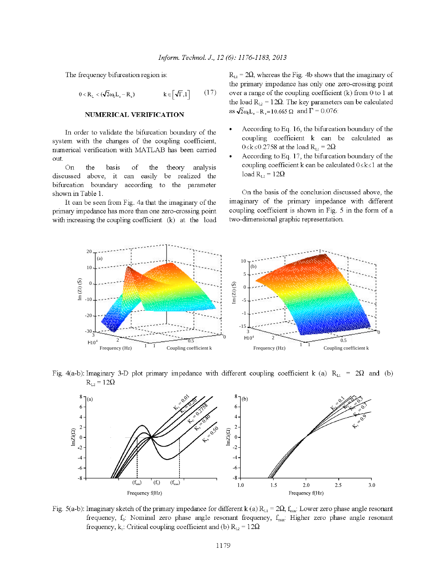The frequency bifurcation region is:

$$
0 < R_{\text{L}} < (\sqrt{2}\omega_{\text{L}} \mathbf{L}_{\text{s}} - \mathbf{R}_{\text{s}}) \qquad k \in [\sqrt{\Gamma}, 1] \qquad (17)
$$

#### NUMERICAL VERIFICATION

In order to validate the bifurcation boundary of the system with the changes of the coupling coefficient, numerical verification with MATLAB has been carried out.

On the basis theory analysis of the discussed above, it be realized the can easily bifurcation boundary according to the parameter shown in Table 1.

It can be seen from Fig. 4a that the imaginary of the primary impedance has more than one zero-crossing point with increasing the coupling coefficient (k) at the load  $R_{\text{L1}}$  = 2 $\Omega$ , whereas the Fig. 4b shows that the imaginary of the primary impedance has only one zero-crossing point over a range of the coupling coefficient  $(k)$  from 0 to 1 at the load  $R_{L2} = 12Ω$ . The key parameters can be calculated as  $\sqrt{2} \omega_0 L_s - R_s = 10.665 \Omega$  and  $\Gamma = 0.076$ .

- According to Eq. 16, the bifurcation boundary of the coupling coefficient k can be calculated as  $0 \le k$  ≤ 0.2758 at the load R<sub>L1</sub> = 2Ω
- According to Eq. 17, the bifurcation boundary of the coupling coefficient k can be calculated  $0 \le k \le 1$  at the load  $R_{L2} = 12\Omega$

On the basis of the conclusion discussed above, the imaginary of the primary impedance with different coupling coefficient is shown in Fig. 5 in the form of a two-dimensional graphic representation.



Fig. 4(a-b): Imaginary 3-D plot primary impedance with different coupling coefficient k (a)  $R_{L1} = 2\Omega$  and (b)  $R_{L2} = 12\Omega$ 



Fig. 5(a-b): Imaginary sketch of the primary impedance for different k (a)  $R_{L1} = 2\Omega$ ,  $f_{min}$ : Lower zero phase angle resonant frequency, f<sub>o</sub>: Nominal zero phase angle resonant frequency, f<sub>max</sub>: Higher zero phase angle resonant frequency, k<sub>c</sub>: Critical coupling coefficient and (b)  $R_{12} = 12\Omega$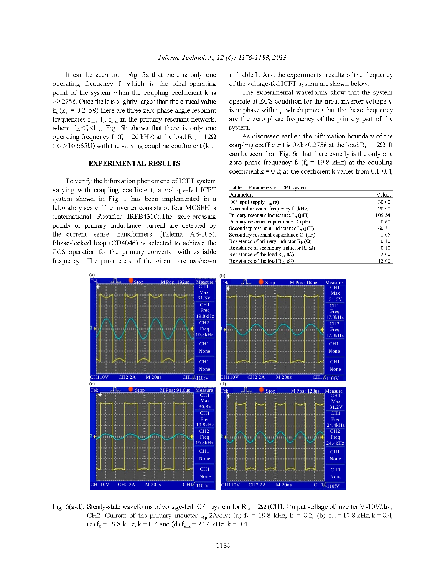It can be seen from Fig. 5a that there is only one operating frequency  $f_0$  which is the ideal operating point of the system when the coupling coefficient k is  $>0.2758$ . Once the k is slightly larger than the critical value  $k_c$  ( $k_c$  = 0.2758) there are three zero phase angle resonant frequencies  $f_{\text{min}}$ ,  $f_0$ ,  $f_{\text{max}}$  in the primary resonant network, where  $f_{min} < f_0 < f_{max}$  Fig. 5b shows that there is only one operating frequency  $f_0$  ( $f_0$  = 20 kHz) at the load  $R_{L2}$  = 12 $\Omega$  $(R_{12} > 10.665\Omega)$  with the varying coupling coefficient (k).

## **EXPERIMENTAL RESULTS**

To verify the bifurcation phenomena of ICPT system varying with coupling coefficient, a voltage-fed ICPT system shown in Fig. 1 has been implemented in a laboratory scale. The inverter consists of four MOSFETs (International Rectifier IRFB4310). The zero-crossing points of primary inductance current are detected by the current sense transformers (Talema AS-103). Phase-locked loop (CD4046) is selected to achieve the ZCS operation for the primary converter with variable frequency. The parameters of the circuit are as shown in Table 1. And the experimental results of the frequency of the voltage-fed ICPT system are shown below.

The experimental waveforms show that the system operate at ZCS condition for the input inverter voltage v is in phase with  $i_{Lv}$ , which proves that the these frequency are the zero phase frequency of the primary part of the system.

As discussed earlier, the bifurcation boundary of the coupling coefficient is  $0 \le k \le 0.2758$  at the load R<sub>L1</sub> = 2 $\Omega$ . It can be seen from Fig. 6a that there exactly is the only one zero phase frequency  $f_0$  ( $f_0$  = 19.8 kHz) at the coupling coefficient  $k = 0.2$ , as the coefficient k varies from 0.1-0.4,

Table 1: Parameters of ICPT system

| Parameters                                     | Values |
|------------------------------------------------|--------|
| DC input supply $E_{in}(v)$                    | 30.00  |
| Nominal resonant frequency $f_0(kHz)$          | 20.00  |
| Primary resonant inductance $L_n(\mu H)$       | 105.54 |
| Primary resonant capacitance $C_n(\mu F)$      | 0.60   |
| Secondary resonant inductance L, (µH)          | 60.31  |
| Secondary resonant capacitance $C_s(\mu F)$    | 1.05   |
| Resistance of primary inductor $R_P(\Omega)$   | 0.10   |
| Resistance of secondary inductor $R_n(\Omega)$ | 0.10   |
| Resistance of the load $R_{11}(\Omega)$        | 2.00   |
| Resistance of the load $R_{12}$ ( $\Omega$ )   | 12.00  |



Fig. 6(a-d): Steady-state waveforms of voltage-fed ICPT system for  $R_{L1} = 2\Omega$  (CH1: Output voltage of inverter V<sub>i</sub>-10V/div; CH2: Current of the primary inductor  $i_{16}$ -2A/div) (a)  $f_0$  = 19.8 kHz, k = 0.2, (b)  $f_{min}$  = 17.8 kHz, k = 0.4, (c)  $f_0 = 19.8$  kHz,  $k = 0.4$  and (d)  $f_{max} = 24.4$  kHz,  $k = 0.4$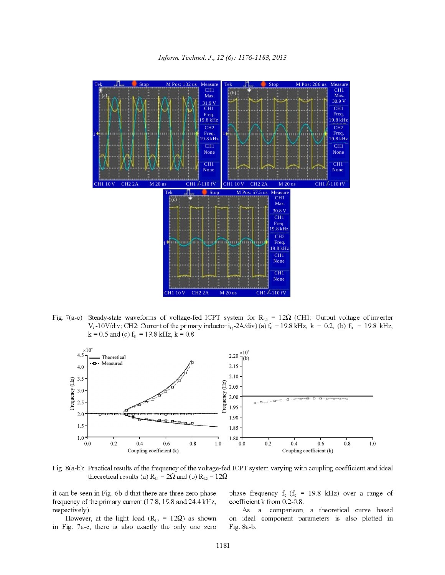

Fig. 7(a-c): Steady-state waveforms of voltage-fed ICPT system for  $R_{12} = 12\Omega$  (CH1: Output voltage of inverter V<sub>i</sub>-10V/div; CH2: Current of the primary inductor  $i_{L}$ -2A/div) (a)  $f_0$  = 19.8 kHz, k = 0.2, (b)  $f_0$  = 19.8 kHz,  $k = 0.5$  and (c)  $f_0 = 19.8$  kHz,  $k = 0.8$ 



Fig. 8(a-b): Practical results of the frequency of the voltage-fed ICPT system varying with coupling coefficient and ideal theoretical results (a)  $R_{L1} = 2\Omega$  and (b)  $R_{L2} = 12\Omega$ 

it can be seen in Fig. 6b-d that there are three zero phase frequency of the primary current (17.8, 19.8 and 24.4 kHz, respectively).

However, at the light load ( $R_{L2} = 12\Omega$ ) as shown in Fig. 7a-c, there is also exactly the only one zero phase frequency  $f_0$  ( $f_0$  = 19.8 kHz) over a range of coefficient k from 0.2-0.8.

As a comparison, a theoretical curve based on ideal component parameters is also plotted in Fig. 8a-b.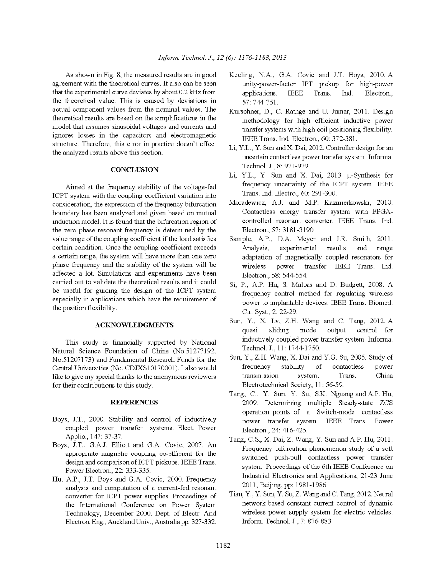As shown in Fig. 8, the measured results are in good agreement with the theoretical curves. It also can be seen that the experimental curve deviates by about 0.2 kHz from the theoretical value. This is caused by deviations in actual component values from the nominal values. The theoretical results are based on the simplifications in the model that assumes sinusoidal voltages and currents and ignores losses in the capacitors and electromagnetic structure. Therefore, this error in practice doesn't effect the analyzed results above this section.

### **CONCLUSION**

Aimed at the frequency stability of the voltage-fed ICPT system with the coupling coefficient variation into consideration, the expression of the frequency bifurcation boundary has been analyzed and given based on mutual induction model. It is found that the bifurcation region of the zero phase resonant frequency is determined by the value range of the coupling coefficient if the load satisfies certain condition. Once the coupling coefficient exceeds a certain range, the system will have more than one zero phase frequency and the stability of the system will be affected a lot. Simulations and experiments have been carried out to validate the theoretical results and it could be useful for guiding the design of the ICPT system especially in applications which have the requirement of the position flexibility.

## **ACKNOWLEDGMENTS**

This study is financially supported by National Natural Science Foundation of China (No.51277192, No.51207173) and Fundamental Research Funds for the Central Universities (No. CDJXS10170001). I also would like to give my special thanks to the anonymous reviewers for their contributions to this study.

#### **REFERENCES**

- Boys, J.T., 2000. Stability and control of inductively coupled power transfer systems. Elect. Power Applic., 147: 37-37.
- Boys, J.T., G.A.J. Elliott and G.A. Covic, 2007. An appropriate magnetic coupling co-efficient for the design and comparison of ICPT pickups. IEEE Trans. Power Electron., 22: 333-335.
- Hu, A.P., J.T. Boys and G.A. Covic, 2000. Frequency analysis and computation of a current-fed resonant converter for ICPT power supplies. Proceedings of the International Conference on Power System Technology, December 2000, Dept. of Electr. And Electron. Eng., Auckland Univ., Australia pp: 327-332.
- Keeling, N.A., G.A. Covic and J.T. Boys, 2010. A unity-power-factor IPT pickup for high-power applications.  $\rm{IEEE}$ Trans. Electron., Ind. 57: 744-751.
- Kurschner, D., C. Rathge and U. Jumar, 2011. Design methodology for high efficient inductive power transfer systems with high coil positioning flexibility. IEEE Trans. Ind. Electron., 60: 372-381.
- Li, Y.L., Y. Sun and X. Dai, 2012. Controller design for an uncertain contactless power transfer system. Informa. Technol. J., 8: 971-979.
- Li, Y.L., Y. Sun and X. Dai, 2013. µ-Synthesis for frequency uncertainty of the ICPT system. IEEE Trans. Ind. Electro., 60: 291-300.
- Moradewicz, A.J. and M.P. Kazmierkowski, 2010. Contactless energy transfer system with FPGAcontrolled resonant converter. IEEE Trans. Ind. Electron., 57: 3181-3190.
- Sample, A.P., D.A. Meyer and J.R. Smith, 2011. Analysis. experimental results and range adaptation of magnetically coupled resonators for transfer. IEEE Trans. Ind. wireless power Electron., 58: 544-554.
- Si, P., A.P. Hu, S. Malpas and D. Budgett, 2008. A frequency control method for regulating wireless power to implantable devices. IEEE Trans. Biomed. Cir. Syst., 2: 22-29.
- Sun, Y., X. Lv, Z.H. Wang and C. Tang, 2012. A quasi sliding mode output control for inductively coupled power transfer system. Informa. Technol. J., 11: 1744-1750.
- Sun, Y., Z.H. Wang, X. Dai and Y.G. Su, 2005. Study of frequency stability of contactless power transmission system. Trans. China Electrotechnical Society, 11: 56-59.
- Tang, C., Y. Sun, Y. Su, S.K. Nguang and A.P. Hu, 2009. Determining multiple Steady-state ZCS operation points of a Switch-mode contactless power transfer system. IEEE Trans. Power Electron., 24: 416-425.
- Tang, C.S., X. Dai, Z. Wang, Y. Sun and A.P. Hu, 2011. Frequency bifurcation phenomenon study of a soft switched push-pull contactless power transfer system. Proceedings of the 6th IEEE Conference on Industrial Electronics and Applications, 21-23 June 2011, Beijing, pp: 1981-1986.
- Tian, Y., Y. Sun, Y. Su, Z. Wang and C. Tang, 2012. Neural network-based constant current control of dynamic wireless power supply system for electric vehicles. Inform. Technol. J., 7: 876-883.